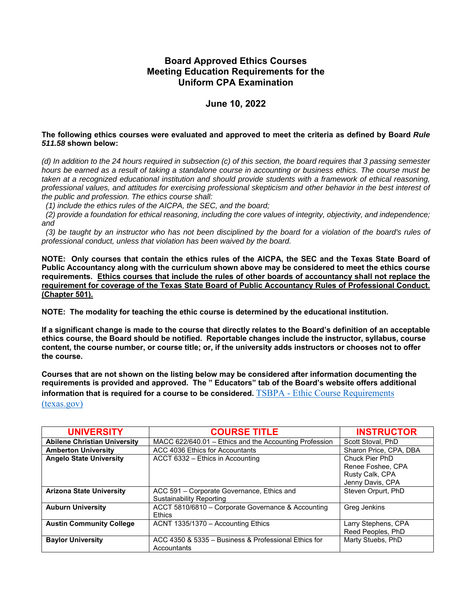## **Board Approved Ethics Courses Meeting Education Requirements for the Uniform CPA Examination**

## **June 10, 2022**

## **The following ethics courses were evaluated and approved to meet the criteria as defined by Board** *Rule 511.58* **shown below:**

*(d) In addition to the 24 hours required in subsection (c) of this section, the board requires that 3 passing semester hours be earned as a result of taking a standalone course in accounting or business ethics. The course must be taken at a recognized educational institution and should provide students with a framework of ethical reasoning, professional values, and attitudes for exercising professional skepticism and other behavior in the best interest of the public and profession. The ethics course shall:* 

 *(1) include the ethics rules of the AICPA, the SEC, and the board;* 

 *(2) provide a foundation for ethical reasoning, including the core values of integrity, objectivity, and independence; and* 

 *(3) be taught by an instructor who has not been disciplined by the board for a violation of the board's rules of professional conduct, unless that violation has been waived by the board.* 

**NOTE: Only courses that contain the ethics rules of the AICPA, the SEC and the Texas State Board of Public Accountancy along with the curriculum shown above may be considered to meet the ethics course requirements. Ethics courses that include the rules of other boards of accountancy shall not replace the requirement for coverage of the Texas State Board of Public Accountancy Rules of Professional Conduct. (Chapter 501).** 

**NOTE: The modality for teaching the ethic course is determined by the educational institution.** 

**If a significant change is made to the course that directly relates to the Board's definition of an acceptable ethics course, the Board should be notified. Reportable changes include the instructor, syllabus, course content, the course number, or course title; or, if the university adds instructors or chooses not to offer the course.** 

**Courses that are not shown on the listing below may be considered after information documenting the requirements is provided and approved. The " Educators" tab of the Board's website offers additional information that is required for a course to be considered.** TSBPA - Ethic Course Requirements (texas.gov)

| <b>UNIVERSITY</b>                   | <b>COURSE TITLE</b>                                    | <b>INSTRUCTOR</b>      |
|-------------------------------------|--------------------------------------------------------|------------------------|
| <b>Abilene Christian University</b> | MACC 622/640.01 - Ethics and the Accounting Profession | Scott Stoval, PhD      |
| <b>Amberton University</b>          | ACC 4036 Ethics for Accountants                        | Sharon Price, CPA, DBA |
| <b>Angelo State University</b>      | ACCT 6332 - Ethics in Accounting                       | Chuck Pier PhD         |
|                                     |                                                        | Renee Foshee, CPA      |
|                                     |                                                        | Rusty Calk, CPA        |
|                                     |                                                        | Jenny Davis, CPA       |
| <b>Arizona State University</b>     | ACC 591 - Corporate Governance, Ethics and             | Steven Orpurt, PhD     |
|                                     | Sustainability Reporting                               |                        |
| <b>Auburn University</b>            | ACCT 5810/6810 - Corporate Governance & Accounting     | Greg Jenkins           |
|                                     | <b>Ethics</b>                                          |                        |
| <b>Austin Community College</b>     | ACNT 1335/1370 - Accounting Ethics                     | Larry Stephens, CPA    |
|                                     |                                                        | Reed Peoples, PhD      |
| <b>Baylor University</b>            | ACC 4350 & 5335 - Business & Professional Ethics for   | Marty Stuebs, PhD      |
|                                     | Accountants                                            |                        |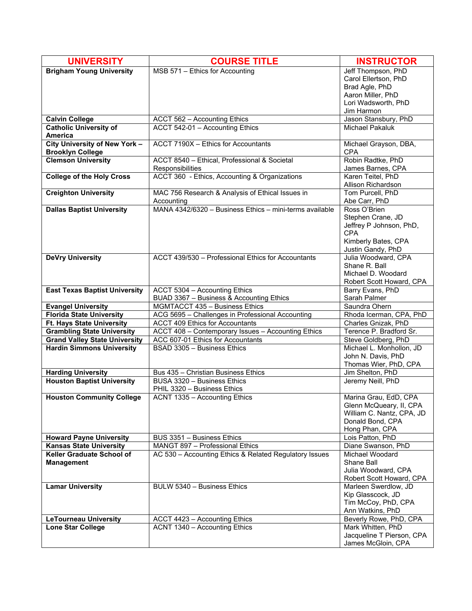| <b>UNIVERSITY</b>                                                | <b>COURSE TITLE</b>                                                                | <b>INSTRUCTOR</b>                        |
|------------------------------------------------------------------|------------------------------------------------------------------------------------|------------------------------------------|
| <b>Brigham Young University</b>                                  | MSB 571 - Ethics for Accounting                                                    | Jeff Thompson, PhD                       |
|                                                                  |                                                                                    | Carol Ellertson, PhD                     |
|                                                                  |                                                                                    | Brad Agle, PhD                           |
|                                                                  |                                                                                    | Aaron Miller, PhD                        |
|                                                                  |                                                                                    | Lori Wadsworth, PhD<br>Jim Harmon        |
| <b>Calvin College</b>                                            | ACCT 562 - Accounting Ethics                                                       | Jason Stansbury, PhD                     |
| <b>Catholic University of</b>                                    | ACCT 542-01 - Accounting Ethics                                                    | <b>Michael Pakaluk</b>                   |
| <b>America</b>                                                   |                                                                                    |                                          |
| City University of New York -                                    | ACCT 7190X - Ethics for Accountants                                                | Michael Grayson, DBA,                    |
| <b>Brooklyn College</b>                                          |                                                                                    | <b>CPA</b>                               |
| <b>Clemson University</b>                                        | ACCT 8540 - Ethical, Professional & Societal                                       | Robin Radtke, PhD                        |
| <b>College of the Holy Cross</b>                                 | Responsibilities<br>ACCT 360 - Ethics, Accounting & Organizations                  | James Barnes, CPA<br>Karen Teitel, PhD   |
|                                                                  |                                                                                    | Allison Richardson                       |
| <b>Creighton University</b>                                      | MAC 756 Research & Analysis of Ethical Issues in                                   | Tom Purcell, PhD                         |
|                                                                  | Accounting                                                                         | Abe Carr, PhD                            |
| <b>Dallas Baptist University</b>                                 | MANA 4342/6320 - Business Ethics - mini-terms available                            | Ross O'Brien                             |
|                                                                  |                                                                                    | Stephen Crane, JD                        |
|                                                                  |                                                                                    | Jeffrey P Johnson, PhD,                  |
|                                                                  |                                                                                    | <b>CPA</b>                               |
|                                                                  |                                                                                    | Kimberly Bates, CPA<br>Justin Gandy, PhD |
| <b>DeVry University</b>                                          | ACCT 439/530 - Professional Ethics for Accountants                                 | Julia Woodward, CPA                      |
|                                                                  |                                                                                    | Shane R. Ball                            |
|                                                                  |                                                                                    | Michael D. Woodard                       |
|                                                                  |                                                                                    | Robert Scott Howard, CPA                 |
| <b>East Texas Baptist University</b>                             | ACCT 5304 - Accounting Ethics                                                      | Barry Evans, PhD                         |
|                                                                  | BUAD 3367 - Business & Accounting Ethics                                           | Sarah Palmer                             |
| <b>Evangel University</b><br><b>Florida State University</b>     | MGMTACCT 435 - Business Ethics<br>ACG 5695 - Challenges in Professional Accounting | Saundra Ohern<br>Rhoda Icerman, CPA, PhD |
| Ft. Hays State University                                        | <b>ACCT 409 Ethics for Accountants</b>                                             | Charles Gnizak, PhD                      |
| <b>Grambling State University</b>                                | ACCT 408 - Contemporary Issues - Accounting Ethics                                 | Terence P. Bradford Sr.                  |
| <b>Grand Valley State University</b>                             | ACC 607-01 Ethics for Accountants                                                  | Steve Goldberg, PhD                      |
| <b>Hardin Simmons University</b>                                 | BSAD 3305 - Business Ethics                                                        | Michael L. Monhollon, JD                 |
|                                                                  |                                                                                    | John N. Davis, PhD                       |
|                                                                  |                                                                                    | Thomas Wier, PhD, CPA                    |
| <b>Harding University</b><br><b>Houston Baptist University</b>   | Bus 435 - Christian Business Ethics<br>BUSA 3320 - Business Ethics                 | Jim Shelton, PhD<br>Jeremy Neill, PhD    |
|                                                                  | PHIL 3320 - Business Ethics                                                        |                                          |
| <b>Houston Community College</b>                                 | ACNT 1335 - Accounting Ethics                                                      | Marina Grau, EdD, CPA                    |
|                                                                  |                                                                                    | Glenn McQueary, II, CPA                  |
|                                                                  |                                                                                    | William C. Nantz, CPA, JD                |
|                                                                  |                                                                                    | Donald Bond, CPA                         |
|                                                                  |                                                                                    | Hong Phan, CPA                           |
| <b>Howard Payne University</b><br><b>Kansas State University</b> | BUS 3351 - Business Ethics<br>MANGT 897 - Professional Ethics                      | Lois Patton, PhD<br>Diane Swanson, PhD   |
| <b>Keller Graduate School of</b>                                 | AC 530 - Accounting Ethics & Related Regulatory Issues                             | Michael Woodard                          |
| <b>Management</b>                                                |                                                                                    | Shane Ball                               |
|                                                                  |                                                                                    | Julia Woodward, CPA                      |
|                                                                  |                                                                                    | Robert Scott Howard, CPA                 |
| <b>Lamar University</b>                                          | BULW 5340 - Business Ethics                                                        | Marleen Swerdlow, JD                     |
|                                                                  |                                                                                    | Kip Glasscock, JD                        |
|                                                                  |                                                                                    | Tim McCoy, PhD, CPA<br>Ann Watkins, PhD  |
| <b>LeTourneau University</b>                                     | ACCT 4423 - Accounting Ethics                                                      | Beverly Rowe, PhD, CPA                   |
| <b>Lone Star College</b>                                         | ACNT 1340 - Accounting Ethics                                                      | Mark Whitten, PhD                        |
|                                                                  |                                                                                    | Jacqueline T Pierson, CPA                |
|                                                                  |                                                                                    | James McGloin, CPA                       |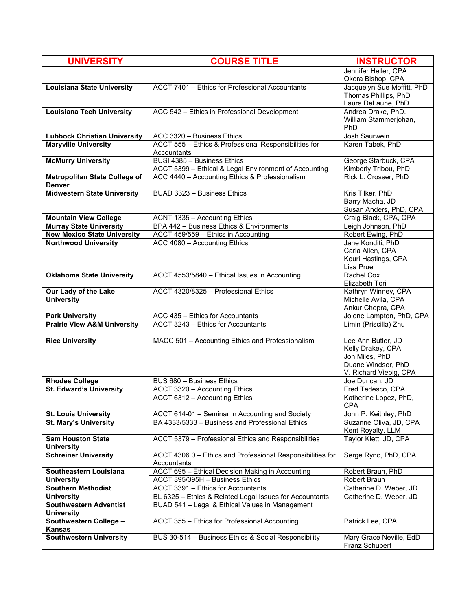| <b>UNIVERSITY</b>                                                | <b>COURSE TITLE</b>                                                                                        | <b>INSTRUCTOR</b>                                                        |
|------------------------------------------------------------------|------------------------------------------------------------------------------------------------------------|--------------------------------------------------------------------------|
|                                                                  |                                                                                                            | Jennifer Heller, CPA<br>Okera Bishop, CPA                                |
| <b>Louisiana State University</b>                                | ACCT 7401 - Ethics for Professional Accountants                                                            | Jacquelyn Sue Moffitt, PhD<br>Thomas Phillips, PhD<br>Laura DeLaune, PhD |
| <b>Louisiana Tech University</b>                                 | ACC 542 - Ethics in Professional Development                                                               | Andrea Drake, PhD.                                                       |
|                                                                  |                                                                                                            | William Stammerjohan,<br>PhD                                             |
| <b>Lubbock Christian University</b>                              | ACC 3320 - Business Ethics                                                                                 | Josh Saurwein                                                            |
| <b>Maryville University</b>                                      | ACCT 555 - Ethics & Professional Responsibilities for<br>Accountants                                       | Karen Tabek, PhD                                                         |
| <b>McMurry University</b>                                        | BUSI 4385 - Business Ethics<br>ACCT 5399 - Ethical & Legal Environment of Accounting                       | George Starbuck, CPA<br>Kimberly Tribou, PhD                             |
| <b>Metropolitan State College of</b><br><b>Denver</b>            | ACC 4440 - Accounting Ethics & Professionalism                                                             | Rick L. Crosser, PhD                                                     |
| <b>Midwestern State University</b>                               | BUAD 3323 - Business Ethics                                                                                | Kris Tilker, PhD                                                         |
|                                                                  |                                                                                                            | Barry Macha, JD<br>Susan Anders, PhD, CPA                                |
| <b>Mountain View College</b>                                     | ACNT 1335 - Accounting Ethics                                                                              | Craig Black, CPA, CPA                                                    |
| <b>Murray State University</b>                                   | BPA 442 - Business Ethics & Environments                                                                   | Leigh Johnson, PhD                                                       |
| <b>New Mexico State University</b>                               | ACCT 459/559 - Ethics in Accounting                                                                        | Robert Ewing, PhD                                                        |
| <b>Northwood University</b>                                      | ACC 4080 - Accounting Ethics                                                                               | Jane Konditi, PhD                                                        |
|                                                                  |                                                                                                            | Carla Allen, CPA                                                         |
|                                                                  |                                                                                                            | Kouri Hastings, CPA<br>Lisa Prue                                         |
| <b>Oklahoma State University</b>                                 | ACCT 4553/5840 - Ethical Issues in Accounting                                                              | Rachel Cox                                                               |
|                                                                  |                                                                                                            | Elizabeth Tori                                                           |
| Our Lady of the Lake                                             | ACCT 4320/8325 - Professional Ethics                                                                       | Kathryn Winney, CPA                                                      |
| <b>University</b>                                                |                                                                                                            | Michelle Avila, CPA                                                      |
|                                                                  |                                                                                                            | Ankur Chopra, CPA                                                        |
| <b>Park University</b><br><b>Prairie View A&amp;M University</b> | ACC 435 - Ethics for Accountants<br>ACCT 3243 - Ethics for Accountants                                     | Jolene Lampton, PhD, CPA                                                 |
|                                                                  |                                                                                                            | Limin (Priscilla) Zhu                                                    |
| <b>Rice University</b>                                           | MACC 501 - Accounting Ethics and Professionalism                                                           | Lee Ann Butler, JD                                                       |
|                                                                  |                                                                                                            | Kelly Drakey, CPA                                                        |
|                                                                  |                                                                                                            | Jon Miles, PhD<br>Duane Windsor, PhD                                     |
|                                                                  |                                                                                                            | V. Richard Viebig, CPA                                                   |
| <b>Rhodes College</b>                                            | BUS 680 - Business Ethics                                                                                  | Joe Duncan, JD                                                           |
| <b>St. Edward's University</b>                                   | ACCT 3320 - Accounting Ethics                                                                              | Fred Tedesco, CPA                                                        |
|                                                                  | ACCT 6312 - Accounting Ethics                                                                              | Katherine Lopez, PhD,                                                    |
|                                                                  |                                                                                                            | <b>CPA</b>                                                               |
| <b>St. Louis University</b>                                      | ACCT 614-01 - Seminar in Accounting and Society                                                            | John P. Keithley, PhD                                                    |
| <b>St. Mary's University</b>                                     | BA 4333/5333 - Business and Professional Ethics                                                            | Suzanne Oliva, JD, CPA<br>Kent Royalty, LLM                              |
| <b>Sam Houston State</b><br><b>University</b>                    | ACCT 5379 - Professional Ethics and Responsibilities                                                       | Taylor Klett, JD, CPA                                                    |
| <b>Schreiner University</b>                                      | ACCT 4306.0 - Ethics and Professional Responsibilities for<br>Accountants                                  | Serge Ryno, PhD, CPA                                                     |
| Southeastern Louisiana                                           | ACCT 695 - Ethical Decision Making in Accounting                                                           | Robert Braun, PhD                                                        |
| <b>University</b>                                                | ACCT 395/395H - Business Ethics                                                                            | Robert Braun                                                             |
| <b>Southern Methodist</b>                                        | ACCT 3391 - Ethics for Accountants                                                                         | Catherine D. Weber, JD                                                   |
| <b>University</b><br><b>Southwestern Adventist</b>               | BL 6325 - Ethics & Related Legal Issues for Accountants<br>BUAD 541 - Legal & Ethical Values in Management | Catherine D. Weber, JD                                                   |
| <b>University</b>                                                |                                                                                                            |                                                                          |
| Southwestern College -<br><b>Kansas</b>                          | ACCT 355 - Ethics for Professional Accounting                                                              | Patrick Lee, CPA                                                         |
| <b>Southwestern University</b>                                   | BUS 30-514 - Business Ethics & Social Responsibility                                                       | Mary Grace Neville, EdD<br>Franz Schubert                                |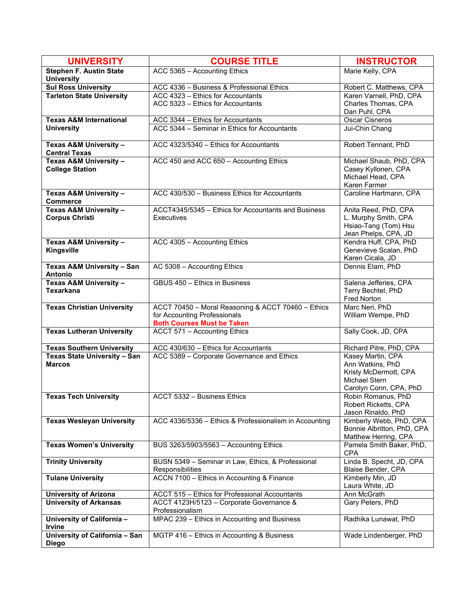| <b>UNIVERSITY</b>                                   | <b>COURSE TITLE</b>                                                      | <b>INSTRUCTOR</b>                                |
|-----------------------------------------------------|--------------------------------------------------------------------------|--------------------------------------------------|
| <b>Stephen F. Austin State</b><br><b>University</b> | ACC 5365 - Accounting Ethics                                             | Marie Kelly, CPA                                 |
| <b>Sul Ross University</b>                          | ACC 4336 - Business & Professional Ethics                                | Robert C. Matthews, CPA                          |
| <b>Tarleton State University</b>                    | ACC 4323 - Ethics for Accountants                                        | Karen Varnell, PhD, CPA                          |
|                                                     | ACC 5323 - Ethics for Accountants                                        | Charles Thomas, CPA                              |
|                                                     |                                                                          | Dan Puhl, CPA                                    |
| <b>Texas A&amp;M International</b>                  | ACC 3344 - Ethics for Accountants                                        | <b>Oscar Cisneros</b>                            |
| <b>University</b>                                   | ACC 5344 - Seminar in Ethics for Accountants                             | Jui-Chin Chang                                   |
| Texas A&M University -<br><b>Central Texas</b>      | ACC 4323/5340 - Ethics for Accountants                                   | Robert Tennant, PhD                              |
| Texas A&M University -                              | ACC 450 and ACC 650 - Accounting Ethics                                  | Michael Shaub, PhD, CPA                          |
| <b>College Station</b>                              |                                                                          | Casey Kyllonen, CPA                              |
|                                                     |                                                                          | Michael Head, CPA                                |
|                                                     | ACC 430/530 - Business Ethics for Accountants                            | Karen Farmer<br>Caroline Hartmann, CPA           |
| Texas A&M University -<br><b>Commerce</b>           |                                                                          |                                                  |
| Texas A&M University -                              | ACCT4345/5345 - Ethics for Accountants and Business                      | Anita Reed, PhD, CPA                             |
| <b>Corpus Christi</b>                               | <b>Executives</b>                                                        | L. Murphy Smith, CPA                             |
|                                                     |                                                                          | Hsiao-Tang (Tom) Hsu<br>Jean Phelps, CPA, JD     |
| Texas A&M University -                              | ACC 4305 - Accounting Ethics                                             | Kendra Huff, CPA, PhD                            |
| Kingsville                                          |                                                                          | Genevieve Scalan, PhD                            |
|                                                     |                                                                          | Karen Cicala, JD                                 |
| <b>Texas A&amp;M University - San</b><br>Antonio    | AC 5308 - Accounting Ethics                                              | Dennis Elam, PhD                                 |
| Texas A&M University -                              | GBUS 450 - Ethics in Business                                            | Salena Jefferies, CPA                            |
| <b>Texarkana</b>                                    |                                                                          | Terry Bechtel, PhD                               |
|                                                     |                                                                          | <b>Fred Norton</b>                               |
| <b>Texas Christian University</b>                   | ACCT 70450 - Moral Reasoning & ACCT 70460 - Ethics                       | Marc Neri, PhD                                   |
|                                                     | for Accounting Professionals                                             | William Wempe, PhD                               |
| <b>Texas Lutheran University</b>                    | <b>Both Courses Must be Taken</b><br><b>ACCT 571 - Accounting Ethics</b> | Sally Cook, JD, CPA                              |
|                                                     |                                                                          |                                                  |
| <b>Texas Southern University</b>                    | ACC 430/630 - Ethics for Accountants                                     | Richard Pitre, PhD, CPA                          |
| Texas State University - San                        | ACC 5389 - Corporate Governance and Ethics                               | Kasey Martin, CPA                                |
| <b>Marcos</b>                                       |                                                                          | Ann Watkins, PhD                                 |
|                                                     |                                                                          | Kristy McDermott, CPA<br>Michael Stern           |
|                                                     |                                                                          | Carolyn Conn, CPA, PhD                           |
| <b>Texas Tech University</b>                        | ACCT 5332 - Business Ethics                                              | Robin Romanus, PhD                               |
|                                                     |                                                                          | Robert Ricketts, CPA                             |
|                                                     |                                                                          | Jason Rinaldo, PhD                               |
| <b>Texas Wesleyan University</b>                    | ACC 4336/5336 - Ethics & Professionalism in Accounting                   | Kimberly Webb, PhD, CPA                          |
|                                                     |                                                                          | Bonnie Albritton, PhD, CPA                       |
| <b>Texas Women's University</b>                     |                                                                          | Matthew Herring, CPA<br>Pamela Smith Baker, PhD, |
|                                                     | BUS 3263/5903/5563 - Accounting Ethics                                   | <b>CPA</b>                                       |
| <b>Trinity University</b>                           | BUSN 5349 - Seminar in Law, Ethics, & Professional                       | Linda B. Specht, JD, CPA                         |
|                                                     | Responsibilities                                                         | Blaise Bender, CPA                               |
| <b>Tulane University</b>                            | ACCN 7100 - Ethics in Accounting & Finance                               | Kimberly Min, JD<br>Laura White, JD              |
| <b>University of Arizona</b>                        | ACCT 515 - Ethics for Professional Accountants                           | Ann McGrath                                      |
| <b>University of Arkansas</b>                       | ACCT 4123H/5123 - Corporate Governance &                                 | Gary Peters, PhD                                 |
| University of California -                          | Professionalism<br>MPAC 239 - Ethics in Accounting and Business          | Radhika Lunawat, PhD                             |
| Irvine                                              |                                                                          |                                                  |
| University of California - San<br><b>Diego</b>      | MGTP 416 - Ethics in Accounting & Business                               | Wade Lindenberger, PhD                           |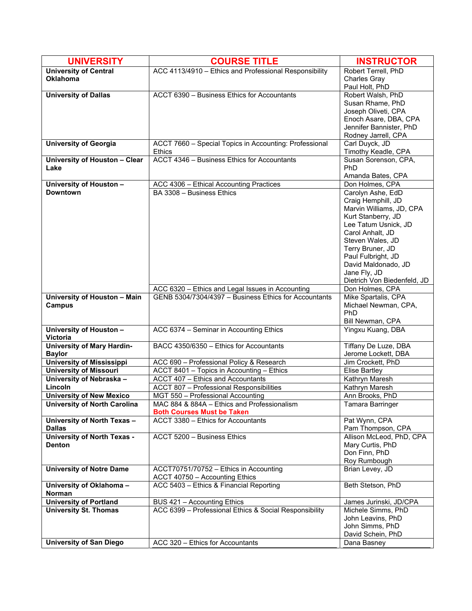| <b>UNIVERSITY</b>                  | <b>COURSE TITLE</b>                                                     | <b>INSTRUCTOR</b>                     |
|------------------------------------|-------------------------------------------------------------------------|---------------------------------------|
| <b>University of Central</b>       | ACC 4113/4910 - Ethics and Professional Responsibility                  | Robert Terrell, PhD                   |
| <b>Oklahoma</b>                    |                                                                         | <b>Charles Gray</b>                   |
|                                    |                                                                         | Paul Holt, PhD                        |
| <b>University of Dallas</b>        | ACCT 6390 - Business Ethics for Accountants                             | Robert Walsh, PhD                     |
|                                    |                                                                         | Susan Rhame, PhD                      |
|                                    |                                                                         | Joseph Oliveti, CPA                   |
|                                    |                                                                         | Enoch Asare, DBA, CPA                 |
|                                    |                                                                         | Jennifer Bannister, PhD               |
|                                    |                                                                         | Rodney Jarrell, CPA                   |
| <b>University of Georgia</b>       | ACCT 7660 - Special Topics in Accounting: Professional<br><b>Ethics</b> | Carl Duyck, JD<br>Timothy Keadle, CPA |
| University of Houston - Clear      | ACCT 4346 - Business Ethics for Accountants                             | Susan Sorenson, CPA,                  |
| Lake                               |                                                                         | PhD                                   |
|                                    |                                                                         | Amanda Bates, CPA                     |
| University of Houston -            | ACC 4306 - Ethical Accounting Practices                                 | Don Holmes, CPA                       |
| <b>Downtown</b>                    | BA 3308 - Business Ethics                                               | Carolyn Ashe, EdD                     |
|                                    |                                                                         | Craig Hemphill, JD                    |
|                                    |                                                                         | Marvin Williams, JD, CPA              |
|                                    |                                                                         | Kurt Stanberry, JD                    |
|                                    |                                                                         | Lee Tatum Usnick, JD                  |
|                                    |                                                                         | Carol Anhalt, JD                      |
|                                    |                                                                         | Steven Wales, JD                      |
|                                    |                                                                         | Terry Bruner, JD                      |
|                                    |                                                                         | Paul Fulbright, JD                    |
|                                    |                                                                         | David Maldonado, JD                   |
|                                    |                                                                         | Jane Fly, JD                          |
|                                    |                                                                         | Dietrich Von Biedenfeld, JD           |
|                                    | ACC 6320 - Ethics and Legal Issues in Accounting                        | Don Holmes, CPA                       |
| University of Houston - Main       | GENB 5304/7304/4397 - Business Ethics for Accountants                   | Mike Spartalis, CPA                   |
| <b>Campus</b>                      |                                                                         | Michael Newman, CPA,<br>PhD           |
|                                    |                                                                         | Bill Newman, CPA                      |
| University of Houston -            | ACC 6374 - Seminar in Accounting Ethics                                 | Yingxu Kuang, DBA                     |
| <b>Victoria</b>                    |                                                                         |                                       |
| <b>University of Mary Hardin-</b>  | BACC 4350/6350 - Ethics for Accountants                                 | Tiffany De Luze, DBA                  |
| <b>Baylor</b>                      |                                                                         | Jerome Lockett, DBA                   |
| <b>University of Mississippi</b>   | ACC 690 - Professional Policy & Research                                | Jim Crockett, PhD                     |
| <b>University of Missouri</b>      | ACCT 8401 - Topics in Accounting - Ethics                               | <b>Elise Bartley</b>                  |
| University of Nebraska -           | ACCT 407 - Ethics and Accountants                                       | Kathryn Maresh                        |
| Lincoln                            | ACCT 807 - Professional Responsibilities                                | Kathryn Maresh                        |
| <b>University of New Mexico</b>    | MGT 550 - Professional Accounting                                       | Ann Brooks, PhD                       |
| University of North Carolina       | MAC 884 & 884A – Ethics and Professionalism                             | Tamara Barringer                      |
| University of North Texas -        | <b>Both Courses Must be Taken</b><br>ACCT 3380 - Ethics for Accountants | Pat Wynn, CPA                         |
| <b>Dallas</b>                      |                                                                         | Pam Thompson, CPA                     |
| <b>University of North Texas -</b> | ACCT 5200 - Business Ethics                                             | Allison McLeod, PhD, CPA              |
| <b>Denton</b>                      |                                                                         | Mary Curtis, PhD                      |
|                                    |                                                                         | Don Finn, PhD                         |
|                                    |                                                                         | Roy Rumbough                          |
| <b>University of Notre Dame</b>    | ACCT70751/70752 - Ethics in Accounting                                  | Brian Levey, JD                       |
|                                    | ACCT 40750 - Accounting Ethics                                          |                                       |
| University of Oklahoma -           | ACC 5403 - Ethics & Financial Reporting                                 | Beth Stetson, PhD                     |
| Norman                             |                                                                         |                                       |
| <b>University of Portland</b>      | BUS 421 - Accounting Ethics                                             | James Jurinski, JD/CPA                |
| <b>University St. Thomas</b>       | ACC 6399 - Professional Ethics & Social Responsibility                  | Michele Simms, PhD                    |
|                                    |                                                                         | John Leavins, PhD                     |
|                                    |                                                                         | John Simms, PhD                       |
|                                    |                                                                         | David Schein, PhD                     |
| <b>University of San Diego</b>     | ACC 320 - Ethics for Accountants                                        | Dana Basney                           |